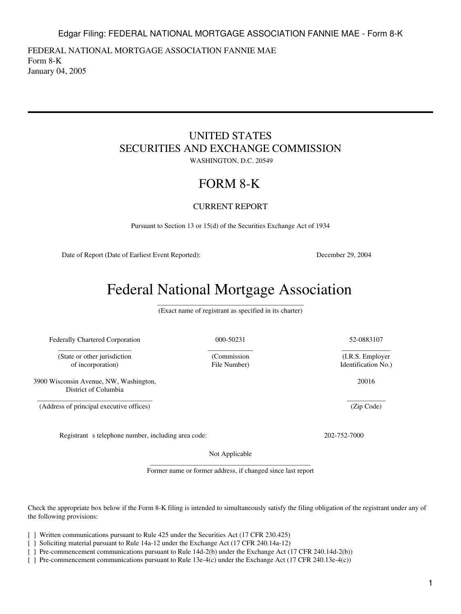1

Edgar Filing: FEDERAL NATIONAL MORTGAGE ASSOCIATION FANNIE MAE - Form 8-K

<span id="page-0-0"></span>FEDERAL NATIONAL MORTGAGE ASSOCIATION FANNIE MAE Form 8-K January 04, 2005

# UNITED STATES SECURITIES AND EXCHANGE COMMISSION

WASHINGTON, D.C. 20549

# FORM 8-K

CURRENT REPORT

Pursuant to Section 13 or 15(d) of the Securities Exchange Act of 1934

Date of Report (Date of Earliest Event Reported): December 29, 2004

# Federal National Mortgage Association

\_\_\_\_\_\_\_\_\_\_\_\_\_\_\_\_\_\_\_\_\_\_\_\_\_\_\_\_\_\_\_\_\_\_\_\_\_\_\_\_\_\_ (Exact name of registrant as specified in its charter)

Federally Chartered Corporation 000-50231 52-0883107 \_\_\_\_\_\_\_\_\_\_\_\_\_\_\_\_\_\_\_\_\_

(State or other jurisdiction of incorporation) File Number) Identification No.)

3900 Wisconsin Avenue, NW, Washington, District of Columbia

\_\_\_\_\_\_\_\_\_\_\_\_\_\_\_\_\_\_\_\_\_\_\_\_\_\_\_\_\_\_\_\_\_ (Address of principal executive offices)

Registrant s telephone number, including area code: 202-752-7000

Not Applicable

\_\_\_\_\_\_\_\_\_\_\_\_\_\_\_\_\_\_\_\_\_\_\_\_\_\_\_\_\_\_\_\_\_\_\_\_\_\_\_\_\_\_\_\_\_\_ Former name or former address, if changed since last report

Check the appropriate box below if the Form 8-K filing is intended to simultaneously satisfy the filing obligation of the registrant under any of the following provisions:

[ ] Written communications pursuant to Rule 425 under the Securities Act (17 CFR 230.425)

[ ] Soliciting material pursuant to Rule 14a-12 under the Exchange Act (17 CFR 240.14a-12)

[ ] Pre-commencement communications pursuant to Rule 14d-2(b) under the Exchange Act (17 CFR 240.14d-2(b))

[ ] Pre-commencement communications pursuant to Rule 13e-4(c) under the Exchange Act (17 CFR 240.13e-4(c))

\_\_\_\_\_\_\_\_\_\_\_\_\_\_ (I.R.S. Employer

20016

\_\_\_\_\_\_\_\_\_\_\_ (Zip Code)

\_\_\_\_\_\_\_\_\_\_\_\_\_ (Commission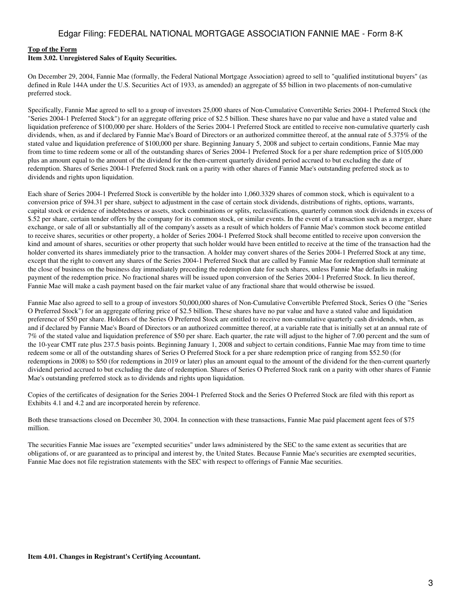## **[Top of the Form](#page-0-0)**

#### **Item 3.02. Unregistered Sales of Equity Securities.**

On December 29, 2004, Fannie Mae (formally, the Federal National Mortgage Association) agreed to sell to "qualified institutional buyers" (as defined in Rule 144A under the U.S. Securities Act of 1933, as amended) an aggregate of \$5 billion in two placements of non-cumulative preferred stock.

Specifically, Fannie Mae agreed to sell to a group of investors 25,000 shares of Non-Cumulative Convertible Series 2004-1 Preferred Stock (the "Series 2004-1 Preferred Stock") for an aggregate offering price of \$2.5 billion. These shares have no par value and have a stated value and liquidation preference of \$100,000 per share. Holders of the Series 2004-1 Preferred Stock are entitled to receive non-cumulative quarterly cash dividends, when, as and if declared by Fannie Mae's Board of Directors or an authorized committee thereof, at the annual rate of 5.375% of the stated value and liquidation preference of \$100,000 per share. Beginning January 5, 2008 and subject to certain conditions, Fannie Mae may from time to time redeem some or all of the outstanding shares of Series 2004-1 Preferred Stock for a per share redemption price of \$105,000 plus an amount equal to the amount of the dividend for the then-current quarterly dividend period accrued to but excluding the date of redemption. Shares of Series 2004-1 Preferred Stock rank on a parity with other shares of Fannie Mae's outstanding preferred stock as to dividends and rights upon liquidation.

Each share of Series 2004-1 Preferred Stock is convertible by the holder into 1,060.3329 shares of common stock, which is equivalent to a conversion price of \$94.31 per share, subject to adjustment in the case of certain stock dividends, distributions of rights, options, warrants, capital stock or evidence of indebtedness or assets, stock combinations or splits, reclassifications, quarterly common stock dividends in excess of \$.52 per share, certain tender offers by the company for its common stock, or similar events. In the event of a transaction such as a merger, share exchange, or sale of all or substantially all of the company's assets as a result of which holders of Fannie Mae's common stock become entitled to receive shares, securities or other property, a holder of Series 2004-1 Preferred Stock shall become entitled to receive upon conversion the kind and amount of shares, securities or other property that such holder would have been entitled to receive at the time of the transaction had the holder converted its shares immediately prior to the transaction. A holder may convert shares of the Series 2004-1 Preferred Stock at any time, except that the right to convert any shares of the Series 2004-1 Preferred Stock that are called by Fannie Mae for redemption shall terminate at the close of business on the business day immediately preceding the redemption date for such shares, unless Fannie Mae defaults in making payment of the redemption price. No fractional shares will be issued upon conversion of the Series 2004-1 Preferred Stock. In lieu thereof, Fannie Mae will make a cash payment based on the fair market value of any fractional share that would otherwise be issued.

Fannie Mae also agreed to sell to a group of investors 50,000,000 shares of Non-Cumulative Convertible Preferred Stock, Series O (the "Series O Preferred Stock") for an aggregate offering price of \$2.5 billion. These shares have no par value and have a stated value and liquidation preference of \$50 per share. Holders of the Series O Preferred Stock are entitled to receive non-cumulative quarterly cash dividends, when, as and if declared by Fannie Mae's Board of Directors or an authorized committee thereof, at a variable rate that is initially set at an annual rate of 7% of the stated value and liquidation preference of \$50 per share. Each quarter, the rate will adjust to the higher of 7.00 percent and the sum of the 10-year CMT rate plus 237.5 basis points. Beginning January 1, 2008 and subject to certain conditions, Fannie Mae may from time to time redeem some or all of the outstanding shares of Series O Preferred Stock for a per share redemption price of ranging from \$52.50 (for redemptions in 2008) to \$50 (for redemptions in 2019 or later) plus an amount equal to the amount of the dividend for the then-current quarterly dividend period accrued to but excluding the date of redemption. Shares of Series O Preferred Stock rank on a parity with other shares of Fannie Mae's outstanding preferred stock as to dividends and rights upon liquidation.

Copies of the certificates of designation for the Series 2004-1 Preferred Stock and the Series O Preferred Stock are filed with this report as Exhibits 4.1 and 4.2 and are incorporated herein by reference.

Both these transactions closed on December 30, 2004. In connection with these transactions, Fannie Mae paid placement agent fees of \$75 million.

The securities Fannie Mae issues are "exempted securities" under laws administered by the SEC to the same extent as securities that are obligations of, or are guaranteed as to principal and interest by, the United States. Because Fannie Mae's securities are exempted securities, Fannie Mae does not file registration statements with the SEC with respect to offerings of Fannie Mae securities.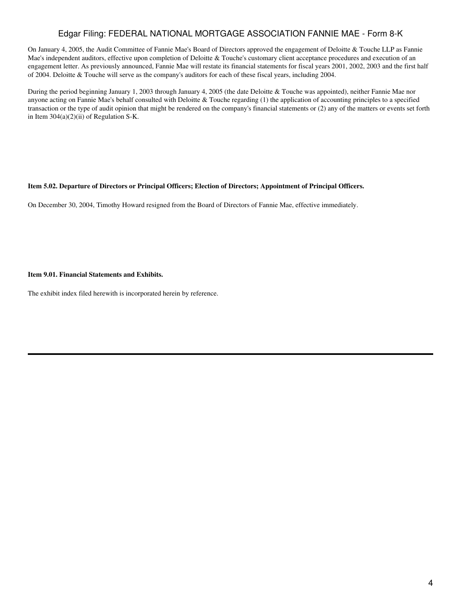## Edgar Filing: FEDERAL NATIONAL MORTGAGE ASSOCIATION FANNIE MAE - Form 8-K

On January 4, 2005, the Audit Committee of Fannie Mae's Board of Directors approved the engagement of Deloitte & Touche LLP as Fannie Mae's independent auditors, effective upon completion of Deloitte & Touche's customary client acceptance procedures and execution of an engagement letter. As previously announced, Fannie Mae will restate its financial statements for fiscal years 2001, 2002, 2003 and the first half of 2004. Deloitte & Touche will serve as the company's auditors for each of these fiscal years, including 2004.

During the period beginning January 1, 2003 through January 4, 2005 (the date Deloitte & Touche was appointed), neither Fannie Mae nor anyone acting on Fannie Mae's behalf consulted with Deloitte & Touche regarding (1) the application of accounting principles to a specified transaction or the type of audit opinion that might be rendered on the company's financial statements or (2) any of the matters or events set forth in Item  $304(a)(2)(ii)$  of Regulation S-K.

#### **Item 5.02. Departure of Directors or Principal Officers; Election of Directors; Appointment of Principal Officers.**

On December 30, 2004, Timothy Howard resigned from the Board of Directors of Fannie Mae, effective immediately.

#### **Item 9.01. Financial Statements and Exhibits.**

The exhibit index filed herewith is incorporated herein by reference.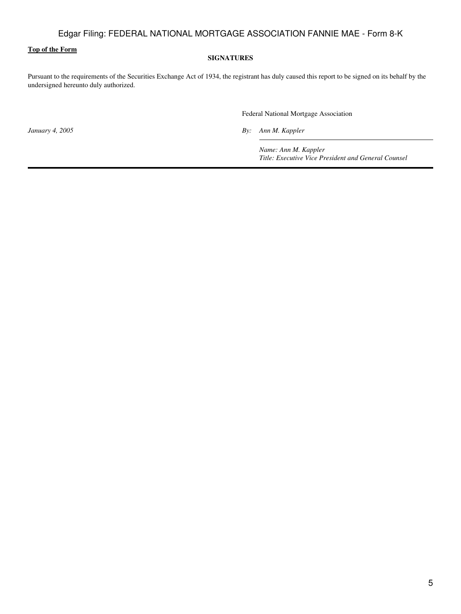## **[Top of the Form](#page-0-0)**

#### **SIGNATURES**

Pursuant to the requirements of the Securities Exchange Act of 1934, the registrant has duly caused this report to be signed on its behalf by the undersigned hereunto duly authorized.

Federal National Mortgage Association

*January 4, 2005 By: Ann M. Kappler*

*Name: Ann M. Kappler Title: Executive Vice President and General Counsel*